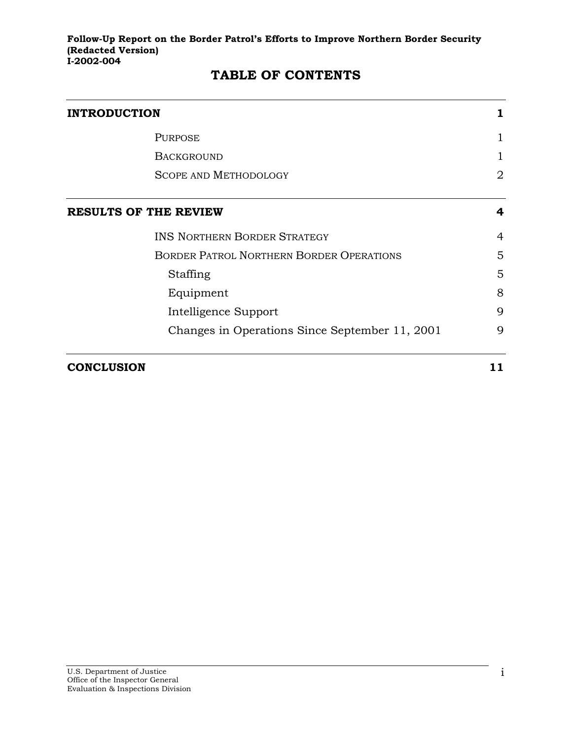| <b>INTRODUCTION</b>          |                                                 |    |  |  |
|------------------------------|-------------------------------------------------|----|--|--|
|                              | <b>PURPOSE</b>                                  | 1  |  |  |
|                              | <b>BACKGROUND</b>                               |    |  |  |
|                              | <b>SCOPE AND METHODOLOGY</b>                    | 2  |  |  |
| <b>RESULTS OF THE REVIEW</b> |                                                 | 4  |  |  |
|                              | <b>INS NORTHERN BORDER STRATEGY</b>             | 4  |  |  |
|                              | <b>BORDER PATROL NORTHERN BORDER OPERATIONS</b> | 5  |  |  |
|                              | Staffing                                        | 5  |  |  |
|                              | Equipment                                       | 8  |  |  |
|                              | Intelligence Support                            | 9  |  |  |
|                              | Changes in Operations Since September 11, 2001  | 9  |  |  |
| <b>CONCLUSION</b>            |                                                 | 11 |  |  |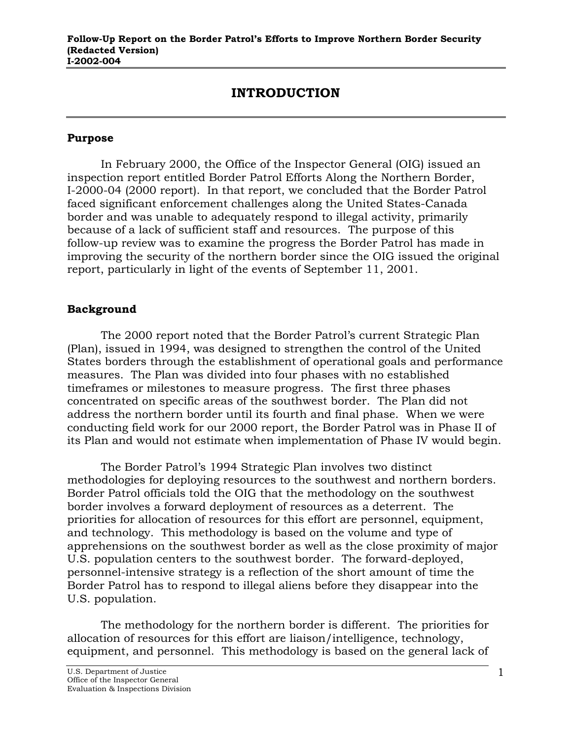# **INTRODUCTION**

#### <span id="page-1-0"></span>**Purpose**

In February 2000, the Office of the Inspector General (OIG) issued an inspection report entitled Border Patrol Efforts Along the Northern Border, I-2000-04 (2000 report). In that report, we concluded that the Border Patrol faced significant enforcement challenges along the United States-Canada border and was unable to adequately respond to illegal activity, primarily because of a lack of sufficient staff and resources. The purpose of this follow-up review was to examine the progress the Border Patrol has made in improving the security of the northern border since the OIG issued the original report, particularly in light of the events of September 11, 2001.

### **Background**

The 2000 report noted that the Border Patrol's current Strategic Plan (Plan), issued in 1994, was designed to strengthen the control of the United States borders through the establishment of operational goals and performance measures. The Plan was divided into four phases with no established timeframes or milestones to measure progress. The first three phases concentrated on specific areas of the southwest border. The Plan did not address the northern border until its fourth and final phase. When we were conducting field work for our 2000 report, the Border Patrol was in Phase II of its Plan and would not estimate when implementation of Phase IV would begin.

The Border Patrol's 1994 Strategic Plan involves two distinct methodologies for deploying resources to the southwest and northern borders. Border Patrol officials told the OIG that the methodology on the southwest border involves a forward deployment of resources as a deterrent. The priorities for allocation of resources for this effort are personnel, equipment, and technology. This methodology is based on the volume and type of apprehensions on the southwest border as well as the close proximity of major U.S. population centers to the southwest border. The forward-deployed, personnel-intensive strategy is a reflection of the short amount of time the Border Patrol has to respond to illegal aliens before they disappear into the U.S. population.

The methodology for the northern border is different. The priorities for allocation of resources for this effort are liaison/intelligence, technology, equipment, and personnel. This methodology is based on the general lack of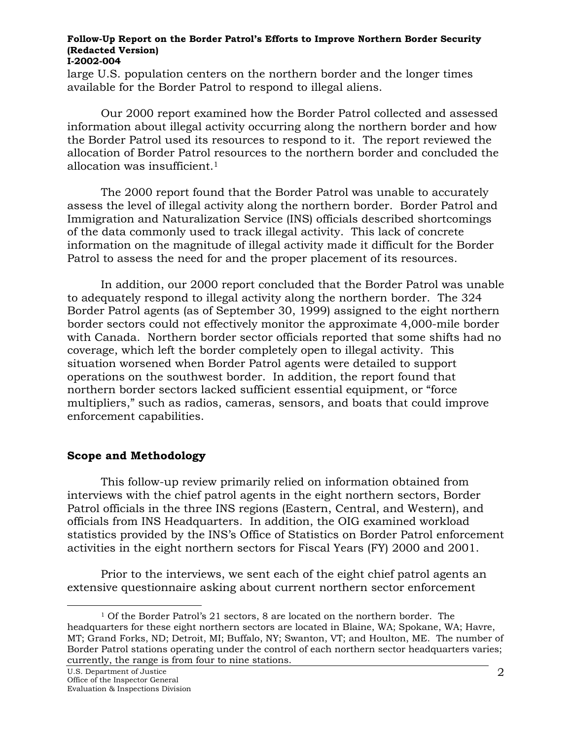<span id="page-2-0"></span>large U.S. population centers on the northern border and the longer times available for the Border Patrol to respond to illegal aliens.

Our 2000 report examined how the Border Patrol collected and assessed information about illegal activity occurring along the northern border and how the Border Patrol used its resources to respond to it. The report reviewed the allocation of Border Patrol resources to the northern border and concluded the allocation was insufficient.[1](#page-2-1) 

The 2000 report found that the Border Patrol was unable to accurately assess the level of illegal activity along the northern border. Border Patrol and Immigration and Naturalization Service (INS) officials described shortcomings of the data commonly used to track illegal activity. This lack of concrete information on the magnitude of illegal activity made it difficult for the Border Patrol to assess the need for and the proper placement of its resources.

In addition, our 2000 report concluded that the Border Patrol was unable to adequately respond to illegal activity along the northern border. The 324 Border Patrol agents (as of September 30, 1999) assigned to the eight northern border sectors could not effectively monitor the approximate 4,000-mile border with Canada. Northern border sector officials reported that some shifts had no coverage, which left the border completely open to illegal activity. This situation worsened when Border Patrol agents were detailed to support operations on the southwest border. In addition, the report found that northern border sectors lacked sufficient essential equipment, or "force multipliers," such as radios, cameras, sensors, and boats that could improve enforcement capabilities.

### **Scope and Methodology**

This follow-up review primarily relied on information obtained from interviews with the chief patrol agents in the eight northern sectors, Border Patrol officials in the three INS regions (Eastern, Central, and Western), and officials from INS Headquarters. In addition, the OIG examined workload statistics provided by the INS's Office of Statistics on Border Patrol enforcement activities in the eight northern sectors for Fiscal Years (FY) 2000 and 2001.

Prior to the interviews, we sent each of the eight chief patrol agents an extensive questionnaire asking about current northern sector enforcement

<span id="page-2-1"></span> $\overline{a}$ 

<sup>1</sup> Of the Border Patrol's 21 sectors, 8 are located on the northern border. The headquarters for these eight northern sectors are located in Blaine, WA; Spokane, WA; Havre, MT; Grand Forks, ND; Detroit, MI; Buffalo, NY; Swanton, VT; and Houlton, ME. The number of Border Patrol stations operating under the control of each northern sector headquarters varies; currently, the range is from four to nine stations.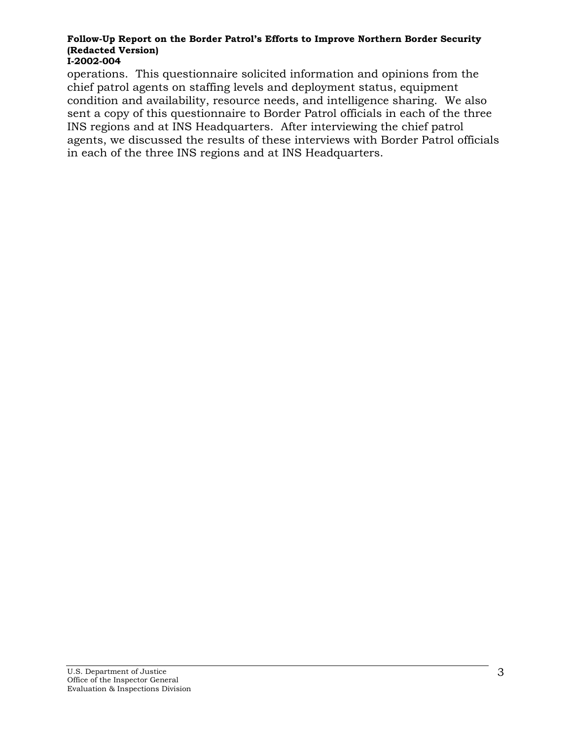operations. This questionnaire solicited information and opinions from the chief patrol agents on staffing levels and deployment status, equipment condition and availability, resource needs, and intelligence sharing. We also sent a copy of this questionnaire to Border Patrol officials in each of the three INS regions and at INS Headquarters. After interviewing the chief patrol agents, we discussed the results of these interviews with Border Patrol officials in each of the three INS regions and at INS Headquarters.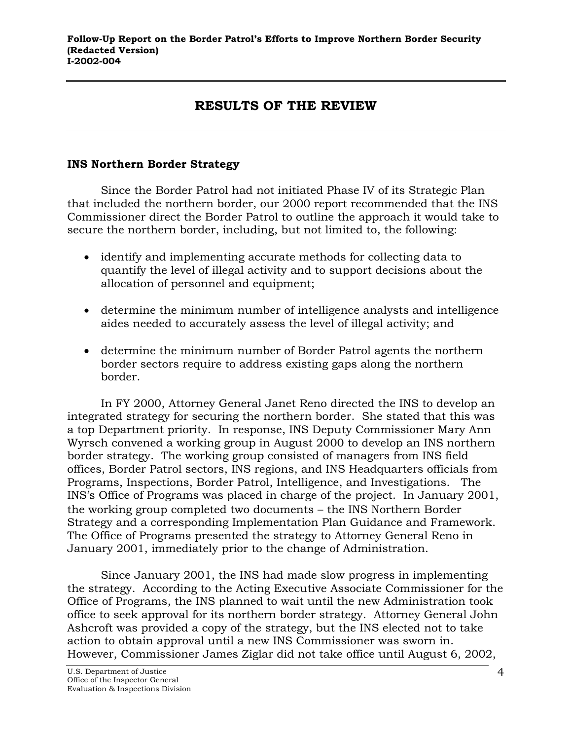# **RESULTS OF THE REVIEW**

### <span id="page-4-0"></span>**INS Northern Border Strategy**

Since the Border Patrol had not initiated Phase IV of its Strategic Plan that included the northern border, our 2000 report recommended that the INS Commissioner direct the Border Patrol to outline the approach it would take to secure the northern border, including, but not limited to, the following:

- identify and implementing accurate methods for collecting data to quantify the level of illegal activity and to support decisions about the allocation of personnel and equipment;
- determine the minimum number of intelligence analysts and intelligence aides needed to accurately assess the level of illegal activity; and
- determine the minimum number of Border Patrol agents the northern border sectors require to address existing gaps along the northern border.

In FY 2000, Attorney General Janet Reno directed the INS to develop an integrated strategy for securing the northern border. She stated that this was a top Department priority. In response, INS Deputy Commissioner Mary Ann Wyrsch convened a working group in August 2000 to develop an INS northern border strategy. The working group consisted of managers from INS field offices, Border Patrol sectors, INS regions, and INS Headquarters officials from Programs, Inspections, Border Patrol, Intelligence, and Investigations. The INS's Office of Programs was placed in charge of the project. In January 2001, the working group completed two documents − the INS Northern Border Strategy and a corresponding Implementation Plan Guidance and Framework. The Office of Programs presented the strategy to Attorney General Reno in January 2001, immediately prior to the change of Administration.

Since January 2001, the INS had made slow progress in implementing the strategy. According to the Acting Executive Associate Commissioner for the Office of Programs, the INS planned to wait until the new Administration took office to seek approval for its northern border strategy. Attorney General John Ashcroft was provided a copy of the strategy, but the INS elected not to take action to obtain approval until a new INS Commissioner was sworn in. However, Commissioner James Ziglar did not take office until August 6, 2002,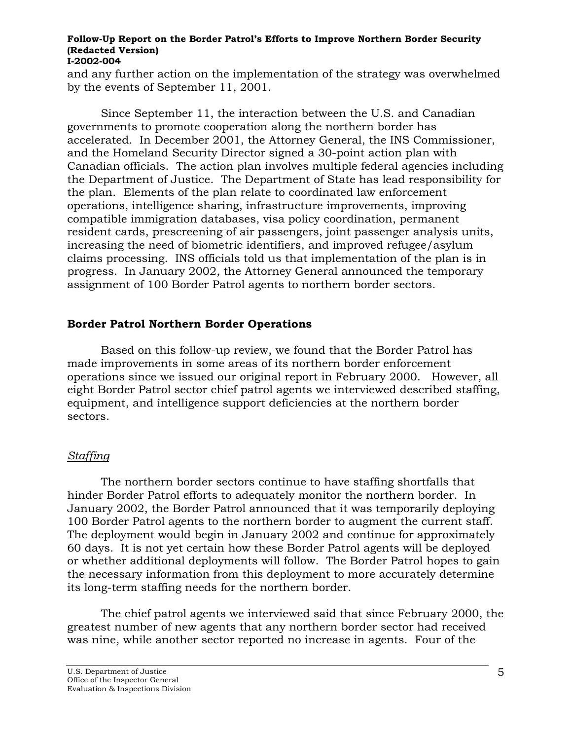<span id="page-5-0"></span>and any further action on the implementation of the strategy was overwhelmed by the events of September 11, 2001.

Since September 11, the interaction between the U.S. and Canadian governments to promote cooperation along the northern border has accelerated. In December 2001, the Attorney General, the INS Commissioner, and the Homeland Security Director signed a 30-point action plan with Canadian officials. The action plan involves multiple federal agencies including the Department of Justice. The Department of State has lead responsibility for the plan. Elements of the plan relate to coordinated law enforcement operations, intelligence sharing, infrastructure improvements, improving compatible immigration databases, visa policy coordination, permanent resident cards, prescreening of air passengers, joint passenger analysis units, increasing the need of biometric identifiers, and improved refugee/asylum claims processing. INS officials told us that implementation of the plan is in progress. In January 2002, the Attorney General announced the temporary assignment of 100 Border Patrol agents to northern border sectors.

## **Border Patrol Northern Border Operations**

Based on this follow-up review, we found that the Border Patrol has made improvements in some areas of its northern border enforcement operations since we issued our original report in February 2000. However, all eight Border Patrol sector chief patrol agents we interviewed described staffing, equipment, and intelligence support deficiencies at the northern border sectors.

## *Staffing*

The northern border sectors continue to have staffing shortfalls that hinder Border Patrol efforts to adequately monitor the northern border. In January 2002, the Border Patrol announced that it was temporarily deploying 100 Border Patrol agents to the northern border to augment the current staff. The deployment would begin in January 2002 and continue for approximately 60 days. It is not yet certain how these Border Patrol agents will be deployed or whether additional deployments will follow. The Border Patrol hopes to gain the necessary information from this deployment to more accurately determine its long-term staffing needs for the northern border.

The chief patrol agents we interviewed said that since February 2000, the greatest number of new agents that any northern border sector had received was nine, while another sector reported no increase in agents. Four of the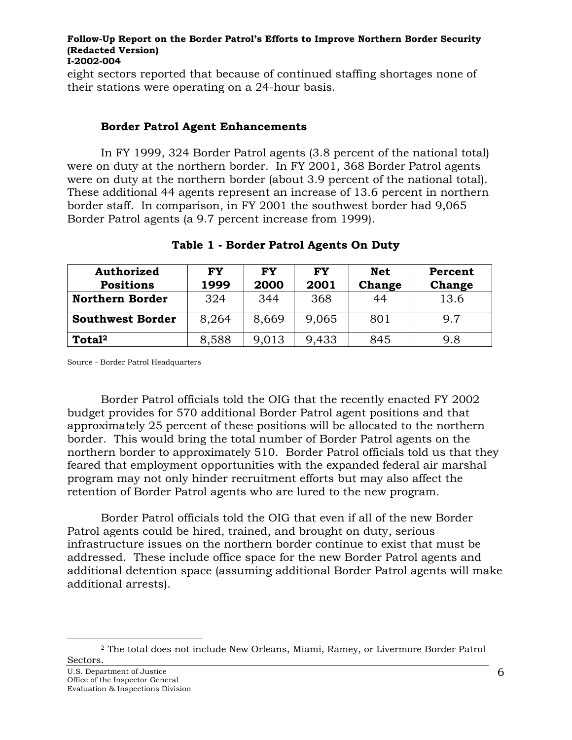eight sectors reported that because of continued staffing shortages none of their stations were operating on a 24-hour basis.

### **Border Patrol Agent Enhancements**

In FY 1999, 324 Border Patrol agents (3.8 percent of the national total) were on duty at the northern border. In FY 2001, 368 Border Patrol agents were on duty at the northern border (about 3.9 percent of the national total). These additional 44 agents represent an increase of 13.6 percent in northern border staff. In comparison, in FY 2001 the southwest border had 9,065 Border Patrol agents (a 9.7 percent increase from 1999).

| <b>Authorized</b>       | <b>FY</b> | <b>FY</b> | <b>FY</b> | <b>Net</b> | Percent |
|-------------------------|-----------|-----------|-----------|------------|---------|
| <b>Positions</b>        | 1999      | 2000      | 2001      | Change     | Change  |
| <b>Northern Border</b>  | 324       | 344       | 368       | 44         | 13.6    |
| <b>Southwest Border</b> | 8,264     | 8,669     | 9,065     | 801        | 9.7     |
| Total <sup>2</sup>      | 8,588     | 9,013     | 9,433     | 845        | 9.8     |

### **Table 1 - Border Patrol Agents On Duty**

Source - Border Patrol Headquarters

Border Patrol officials told the OIG that the recently enacted FY 2002 budget provides for 570 additional Border Patrol agent positions and that approximately 25 percent of these positions will be allocated to the northern border. This would bring the total number of Border Patrol agents on the northern border to approximately 510. Border Patrol officials told us that they feared that employment opportunities with the expanded federal air marshal program may not only hinder recruitment efforts but may also affect the retention of Border Patrol agents who are lured to the new program.

Border Patrol officials told the OIG that even if all of the new Border Patrol agents could be hired, trained, and brought on duty, serious infrastructure issues on the northern border continue to exist that must be addressed. These include office space for the new Border Patrol agents and additional detention space (assuming additional Border Patrol agents will make additional arrests).

 $\overline{a}$ 

<span id="page-6-0"></span><sup>2</sup> The total does not include New Orleans, Miami, Ramey, or Livermore Border Patrol Sectors.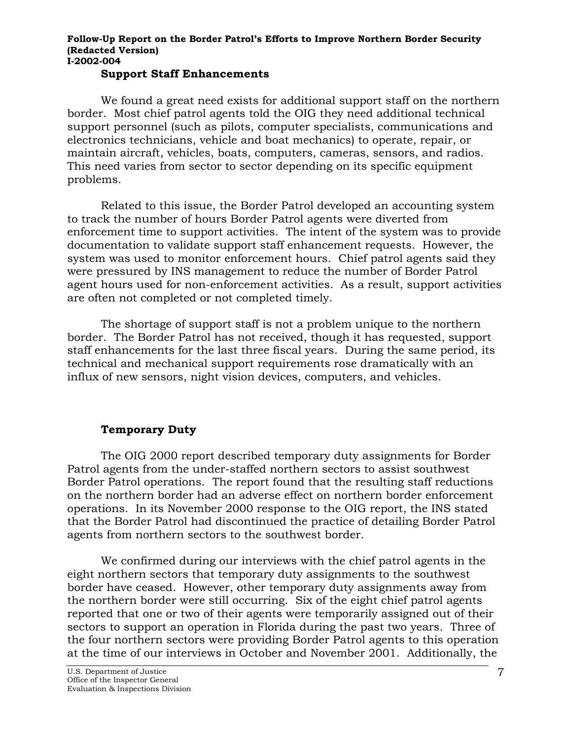#### **Support Staff Enhancements**

We found a great need exists for additional support staff on the northern border. Most chief patrol agents told the OIG they need additional technical support personnel (such as pilots, computer specialists, communications and electronics technicians, vehicle and boat mechanics) to operate, repair, or maintain aircraft, vehicles, boats, computers, cameras, sensors, and radios. This need varies from sector to sector depending on its specific equipment problems.

Related to this issue, the Border Patrol developed an accounting system to track the number of hours Border Patrol agents were diverted from enforcement time to support activities. The intent of the system was to provide documentation to validate support staff enhancement requests. However, the system was used to monitor enforcement hours. Chief patrol agents said they were pressured by INS management to reduce the number of Border Patrol agent hours used for non-enforcement activities. As a result, support activities are often not completed or not completed timely.

The shortage of support staff is not a problem unique to the northern border. The Border Patrol has not received, though it has requested, support staff enhancements for the last three fiscal years. During the same period, its technical and mechanical support requirements rose dramatically with an influx of new sensors, night vision devices, computers, and vehicles.

### **Temporary Duty**

The OIG 2000 report described temporary duty assignments for Border Patrol agents from the under-staffed northern sectors to assist southwest Border Patrol operations. The report found that the resulting staff reductions on the northern border had an adverse effect on northern border enforcement operations. In its November 2000 response to the OIG report, the INS stated that the Border Patrol had discontinued the practice of detailing Border Patrol agents from northern sectors to the southwest border.

We confirmed during our interviews with the chief patrol agents in the eight northern sectors that temporary duty assignments to the southwest border have ceased. However, other temporary duty assignments away from the northern border were still occurring. Six of the eight chief patrol agents reported that one or two of their agents were temporarily assigned out of their sectors to support an operation in Florida during the past two years. Three of the four northern sectors were providing Border Patrol agents to this operation at the time of our interviews in October and November 2001. Additionally, the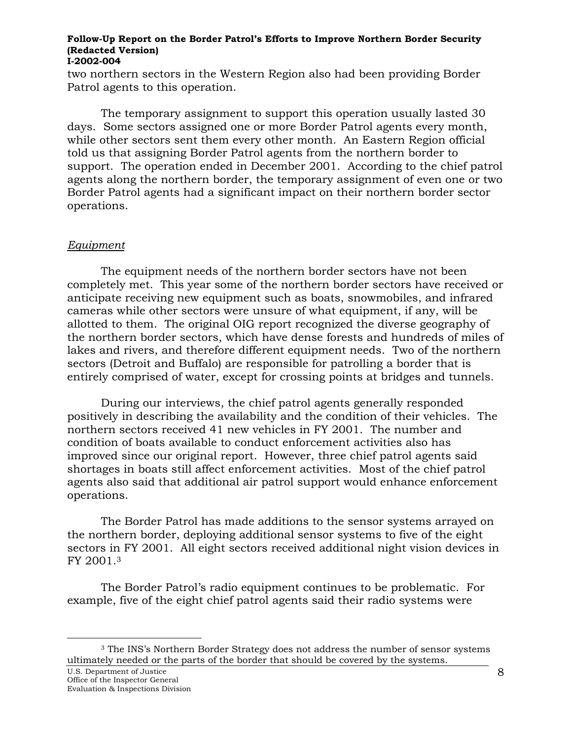<span id="page-8-0"></span>two northern sectors in the Western Region also had been providing Border Patrol agents to this operation.

The temporary assignment to support this operation usually lasted 30 days. Some sectors assigned one or more Border Patrol agents every month, while other sectors sent them every other month. An Eastern Region official told us that assigning Border Patrol agents from the northern border to support. The operation ended in December 2001. According to the chief patrol agents along the northern border, the temporary assignment of even one or two Border Patrol agents had a significant impact on their northern border sector operations.

### *Equipment*

The equipment needs of the northern border sectors have not been completely met. This year some of the northern border sectors have received or anticipate receiving new equipment such as boats, snowmobiles, and infrared cameras while other sectors were unsure of what equipment, if any, will be allotted to them. The original OIG report recognized the diverse geography of the northern border sectors, which have dense forests and hundreds of miles of lakes and rivers, and therefore different equipment needs. Two of the northern sectors (Detroit and Buffalo) are responsible for patrolling a border that is entirely comprised of water, except for crossing points at bridges and tunnels.

During our interviews, the chief patrol agents generally responded positively in describing the availability and the condition of their vehicles. The northern sectors received 41 new vehicles in FY 2001. The number and condition of boats available to conduct enforcement activities also has improved since our original report. However, three chief patrol agents said shortages in boats still affect enforcement activities. Most of the chief patrol agents also said that additional air patrol support would enhance enforcement operations.

The Border Patrol has made additions to the sensor systems arrayed on the northern border, deploying additional sensor systems to five of the eight sectors in FY 2001. All eight sectors received additional night vision devices in FY 2001.[3](#page-8-1) 

The Border Patrol's radio equipment continues to be problematic. For example, five of the eight chief patrol agents said their radio systems were

 $\overline{a}$ 

<span id="page-8-1"></span><sup>&</sup>lt;sup>3</sup> The INS's Northern Border Strategy does not address the number of sensor systems ultimately needed or the parts of the border that should be covered by the systems.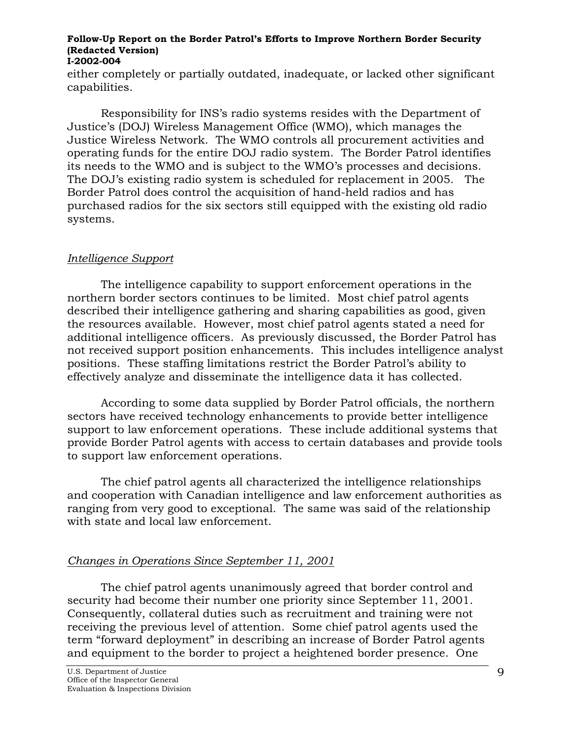<span id="page-9-0"></span>either completely or partially outdated, inadequate, or lacked other significant capabilities.

Responsibility for INS's radio systems resides with the Department of Justice's (DOJ) Wireless Management Office (WMO), which manages the Justice Wireless Network. The WMO controls all procurement activities and operating funds for the entire DOJ radio system. The Border Patrol identifies its needs to the WMO and is subject to the WMO's processes and decisions. The DOJ's existing radio system is scheduled for replacement in 2005. The Border Patrol does control the acquisition of hand-held radios and has purchased radios for the six sectors still equipped with the existing old radio systems.

### *Intelligence Support*

The intelligence capability to support enforcement operations in the northern border sectors continues to be limited. Most chief patrol agents described their intelligence gathering and sharing capabilities as good, given the resources available. However, most chief patrol agents stated a need for additional intelligence officers. As previously discussed, the Border Patrol has not received support position enhancements. This includes intelligence analyst positions. These staffing limitations restrict the Border Patrol's ability to effectively analyze and disseminate the intelligence data it has collected.

According to some data supplied by Border Patrol officials, the northern sectors have received technology enhancements to provide better intelligence support to law enforcement operations. These include additional systems that provide Border Patrol agents with access to certain databases and provide tools to support law enforcement operations.

The chief patrol agents all characterized the intelligence relationships and cooperation with Canadian intelligence and law enforcement authorities as ranging from very good to exceptional. The same was said of the relationship with state and local law enforcement.

## *Changes in Operations Since September 11, 2001*

The chief patrol agents unanimously agreed that border control and security had become their number one priority since September 11, 2001. Consequently, collateral duties such as recruitment and training were not receiving the previous level of attention. Some chief patrol agents used the term "forward deployment" in describing an increase of Border Patrol agents and equipment to the border to project a heightened border presence. One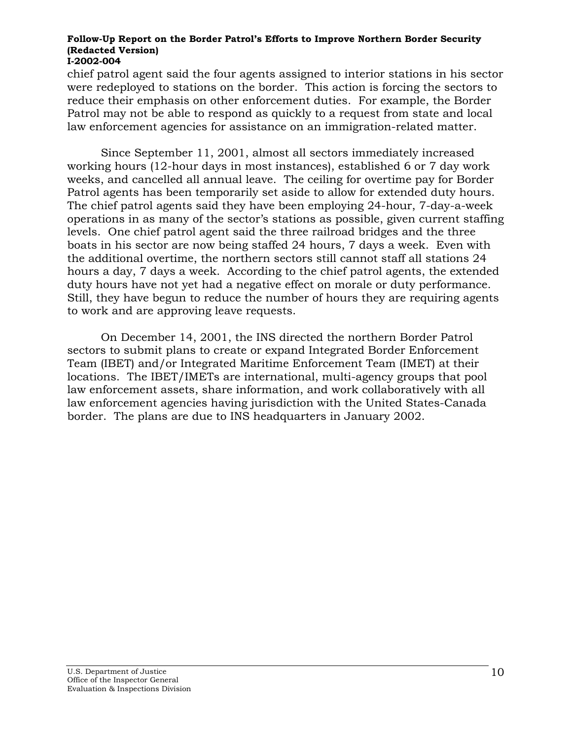chief patrol agent said the four agents assigned to interior stations in his sector were redeployed to stations on the border. This action is forcing the sectors to reduce their emphasis on other enforcement duties. For example, the Border Patrol may not be able to respond as quickly to a request from state and local law enforcement agencies for assistance on an immigration-related matter.

Since September 11, 2001, almost all sectors immediately increased working hours (12-hour days in most instances), established 6 or 7 day work weeks, and cancelled all annual leave. The ceiling for overtime pay for Border Patrol agents has been temporarily set aside to allow for extended duty hours. The chief patrol agents said they have been employing 24-hour, 7-day-a-week operations in as many of the sector's stations as possible, given current staffing levels. One chief patrol agent said the three railroad bridges and the three boats in his sector are now being staffed 24 hours, 7 days a week. Even with the additional overtime, the northern sectors still cannot staff all stations 24 hours a day, 7 days a week. According to the chief patrol agents, the extended duty hours have not yet had a negative effect on morale or duty performance. Still, they have begun to reduce the number of hours they are requiring agents to work and are approving leave requests.

On December 14, 2001, the INS directed the northern Border Patrol sectors to submit plans to create or expand Integrated Border Enforcement Team (IBET) and/or Integrated Maritime Enforcement Team (IMET) at their locations. The IBET/IMETs are international, multi-agency groups that pool law enforcement assets, share information, and work collaboratively with all law enforcement agencies having jurisdiction with the United States-Canada border. The plans are due to INS headquarters in January 2002.